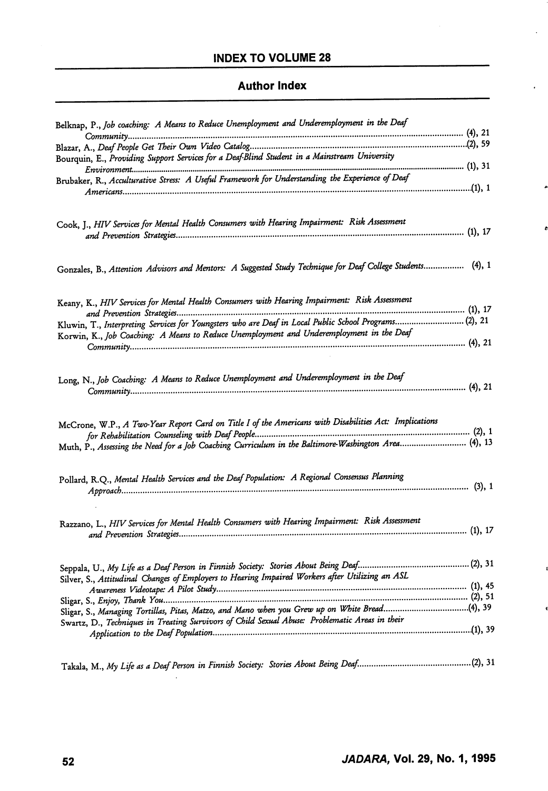## Author Index

| Belknap, P., Job coaching: A Means to Reduce Unemployment and Underemployment in the Deaf                                                                                                                    |  |
|--------------------------------------------------------------------------------------------------------------------------------------------------------------------------------------------------------------|--|
|                                                                                                                                                                                                              |  |
|                                                                                                                                                                                                              |  |
| Bourquin, E., Providing Support Services for a Deaf-Blind Student in a Mainstream University                                                                                                                 |  |
|                                                                                                                                                                                                              |  |
| Brubaker, R., Acculturative Stress: A Useful Framework for Understanding the Experience of Deaf                                                                                                              |  |
|                                                                                                                                                                                                              |  |
| Cook, J., HIV Services for Mental Health Consumers with Hearing Impairment: Risk Assessment                                                                                                                  |  |
|                                                                                                                                                                                                              |  |
|                                                                                                                                                                                                              |  |
| Gonzales, B., Attention Advisors and Mentors: A Suggested Study Technique for Deaf College Students (4), 1                                                                                                   |  |
| Keany, K., HIV Services for Mental Health Consumers with Hearing Impairment: Risk Assessment                                                                                                                 |  |
|                                                                                                                                                                                                              |  |
| Kluwin, T., Interpreting Services for Youngsters who are Deaf in Local Public School Programs(2), 21                                                                                                         |  |
| Korwin, K., Job Coaching: A Means to Reduce Unemployment and Underemployment in the Deaf                                                                                                                     |  |
|                                                                                                                                                                                                              |  |
| Long, N., Job Coaching: A Means to Reduce Unemployment and Underemployment in the Deaf                                                                                                                       |  |
|                                                                                                                                                                                                              |  |
| McCrone, W.P., A Two-Year Report Card on Title I of the Americans with Disabilities Act: Implications<br>Muth, P., Assessing the Need for a Job Coaching Curriculum in the Baltimore-Washington Area (4), 13 |  |
| Pollard, R.Q., Mental Health Services and the Deaf Population: A Regional Consensus Planning                                                                                                                 |  |
| Razzano, L., HIV Services for Mental Health Consumers with Hearing Impairment: Risk Assessment                                                                                                               |  |
|                                                                                                                                                                                                              |  |
| Silver, S., Attitudinal Changes of Employers to Hearing Impaired Workers after Utilizing an ASL                                                                                                              |  |
|                                                                                                                                                                                                              |  |
|                                                                                                                                                                                                              |  |
| Sligar, S., Managing Tortillas, Pitas, Matzo, and Mano when you Grew up on White Bread(4), 39                                                                                                                |  |
| Swartz, D., Techniques in Treating Survivors of Child Sexual Abuse: Problematic Areas in their                                                                                                               |  |
|                                                                                                                                                                                                              |  |
|                                                                                                                                                                                                              |  |

÷.